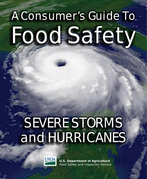# A Consumer's Guide To Food Safety

## SEVERE STORMS and HURRICANES

ww.fsis.usda.gov A Consumer's Guide To Food Safety A Consumer's Guide To Food Safety A Consumer



**U.S. Department of Agriculture** Food Safety and Inspection Service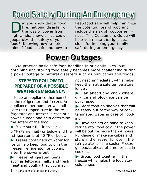## Food Safety During An Emergency

Did you know that a flood,<br>the loss of power from<br>high winds answered as sould fire, national disaster, or the loss of power from high winds, snow, or ice could jeopardize the safety of your food? Knowing how to determine if food is safe and how to

keep food safe will help minimize the potential loss of food and reduce the risk of foodborne illness. This Consumer's Guide will help you make the right decisions for keeping your family safe during an emergency.

## **Power Outages**

*We practice basic safe food handling in our daily lives, but obtaining and storing food safely becomes more challenging during a power outage or natural disasters such as hurricanes and floods.* 

#### **STEPS TO FOLLOW TO PREPARE FOR A POSSIBLE WEATHER EMERGENCY:**

 Keep an appliance thermometer in the refrigerator and freezer. An appliance thermometer will indicate the temperature in the refrigerator and freezer in case of a power outage and help determine the safety of the food.

Make sure the freezer is at 0 °F (Fahrenheit) or below and the refrigerator is at 40 °F or below.

Freeze containers of water for ice to help keep food cold in the freezer, refrigerator, or coolers after the power is out.

 $\blacktriangleright$  Freeze refrigerated items such as leftovers, milk, and fresh meat and poultry that you may

not need immediately—this helps keep them at a safe temperature longer.

Plan ahead and know where dry ice and block ice can be purchased.

Store food on shelves that will be safely out of the way of contaminated water in case of flooding.

Have coolers on hand to keep refrigerator food cold if the power will be out for more than 4 hours. Purchase or make ice cubes and store in the freezer for use in the refrigerator or in a cooler. Freeze gel packs ahead of time for use in coolers.

Group food together in the freezer—this helps the food stay cold longer.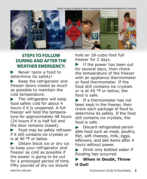Photos Courtesy of National Oceanic & Atmospheric Administration/Department of Commerce



#### **STEPS TO FOLLOW DURING AND AFTER THE WEATHER EMERGENCY:**

Never taste a food to determine its safety!

Keep the refrigerator and freezer doors closed as much as possible to maintain the cold temperature.

 $\blacktriangleright$  The refrigerator will keep food safely cold for about 4 hours if it is unopened. A full freezer will hold the temperature for approximately 48 hours (24 hours if it is half full and the door remains closed).

Food may be safely refrozen if it still contains ice crystals or is at 40 °F or below.

Obtain block ice or dry ice to keep your refrigerator and freezer as cold as possible if the power is going to be out for a prolonged period of time. Fifty pounds of dry ice should

hold an 18-cubic-foot full freezer for 2 days.

 $\blacktriangleright$  If the power has been out for several days, then check the temperature of the freezer with an appliance thermometer or food thermometer. If the food still contains ice crystals or is at 40 °F or below, the food is safe.

**If a thermometer has not** been kept in the freezer, then check each package of food to determine its safety. If the food still contains ice crystals, the food is safe.

Discard refrigerated perish- $\blacktriangleright$ able food such as meat, poultry, fish, soft cheeses, milk, eggs, leftovers, and deli items after 4 hours without power.

Drink only bottled water if  $\blacktriangleright$ flooding has occurred.

**When in Doubt, Throw it Out!**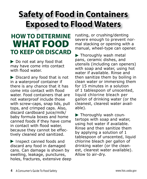## **Safety of Food in Containers Exposed to Flood Waters**

## **HOW TO DETERMINE**  WHAT FOOD **TO KEEP OR DISCARD**

▶ Do not eat any food that may have come into contact with flood water.

Discard any food that is not in a waterproof container if there is any chance that it has come into contact with flood water. Food containers that are not waterproof include those with screw-caps, snap lids, pull tops, and crimped caps. Also, discard cardboard juice/milk/ baby formula boxes and home canned foods if they have come in contact with flood water, because they cannot be effectively cleaned and sanitized.

Inspect canned foods and discard any food in damaged cans. Can damage is shown by swelling, leakage, punctures, holes, fractures, extensive deep

rusting, or crushing/denting severe enough to prevent normal stacking or opening with a manual, wheel-type can opener.

▶ Thoroughly wash metal pans, ceramic dishes, and utensils (including can openers) with soap and water, using hot water if available. Rinse and then sanitize them by boiling in clean water or immersing them for 15 minutes in a solution of 1 tablespoon of unscented, liquid chlorine bleach per gallon of drinking water (or the cleanest, clearest water available).

Thoroughly wash countertops with soap and water, using hot water if available. Rinse and then sanitize them by applying a solution of 1 tablespoon of unscented, liquid chlorine bleach per gallon of drinking water (or the cleanest, clearest water available). Allow to air-dry.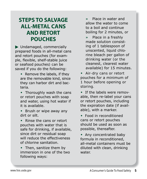#### **STEPS TO SALVAGE ALL-METAL CANS AND RETORT POUCHES**

 $\blacktriangleright$  Undamaged, commercially prepared foods in all-metal cans and retort pouches (for example, flexible, shelf-stable juice or seafood pouches) can be saved if you do the following:

- **•** Remove the labels, if they are the removable kind, since they can harbor dirt and bacteria.
- **•** Thoroughly wash the cans or retort pouches with soap and water, using hot water if it is available.
- **•** Brush or wipe away any dirt or silt.
- **•** Rinse the cans or retort pouches with water that is safe for drinking, if available, since dirt or residual soap will reduce the effectiveness of chlorine sanitation.
- **•** Then, sanitize them by immersion in one of the two following ways:

**»** Place in water and allow the water to come to a boil and continue boiling for 2 minutes, or

**»** Place in a freshly made solution consisting of 1 tablespoon of unscented, liquid chlorine bleach per gallon of drinking water (or the cleanest, clearest water available) for 15 minutes.

**•** Air-dry cans or retort pouches for a minimum of 1 hour before opening or storing.

**•** If the labels were removable, then re-label your cans or retort pouches, including the expiration date (if available), with a marker.

- **•** Food in reconditioned cans or retort pouches should be used as soon as possible, thereafter.
- **•** Any concentrated baby formula in reconditioned, all-metal containers must be diluted with clean, drinking water.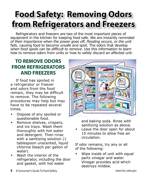## **Food Safety: Removing Odors from Refrigerators and Freezers**

*Refrigerators and freezers are two of the most important pieces of equipment in the kitchen for keeping food safe. We are instantly reminded of their importance when the power goes off, flooding occurs, or the unit fails, causing food to become unsafe and spoil. The odors that develop when food spoils can be difficult to remove. Use this information to learn how to remove odors from units or how to safely discard an affected unit.* 

#### **TO REMOVE ODORS FROM REFRIGERATORS AND FREEZERS**

If food has spoiled in a refrigerator or freezer and odors from the food remain, they may be difficult to remove. The following procedures may help but may have to be repeated several times.

- **•** Dispose of any spoiled or questionable food.
- **•** Remove shelves, crispers, and ice trays. Wash them thoroughly with hot water and detergent. Then rinse with a sanitizing solution (1 tablespoon unscented, liquid chlorine bleach per gallon of water).
- **•** Wash the interior of the refrigerator, including the door and gasket, with hot water



and baking soda. Rinse with sanitizing solution as above.

**•** Leave the door open for about 15 minutes to allow free air circulation.

If odor remains, try any or all of the following:

**•** Wipe inside of unit with equal parts vinegar and water. Vinegar provides acid which destroys mildew.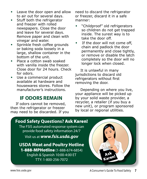- **•** Leave the door open and allow to air out for several days.
- **•** Stuff both the refrigerator and freezer with rolled newspapers. Close the door and leave for several days. Remove paper and clean with vinegar and water.
- **•** Sprinkle fresh coffee grounds or baking soda loosely in a large, shallow container in the bottom of the unit.
- **•** Place a cotton swab soaked with vanilla inside the freezer. Close door for 24 hours. Check for odors.
- **•** Use a commercial product available at hardware and housewares stores. Follow the manufacturer's instructions.

#### **IF ODORS REMAIN**

If odors cannot be removed, then the refrigerator or freezer may need to be discarded. If you need to discard the refrigerator or freezer, discard it in a safe manner:

- **•** "Childproof" old refrigerators so children do not get trapped inside. The surest way is to take the door off.
- **•** If the door will not come off, chain and padlock the door permanently and close tightly, or remove or disable the latch completely so the door will no longer lock when closed.

It is unlawful in many jurisdictions to discard old refrigerators without first removing the door.

Depending on where you live, your appliance will be picked up by your solid waste provider, a recycler, a retailer (if you buy a new unit), or program sponsored by local or regional utilities.